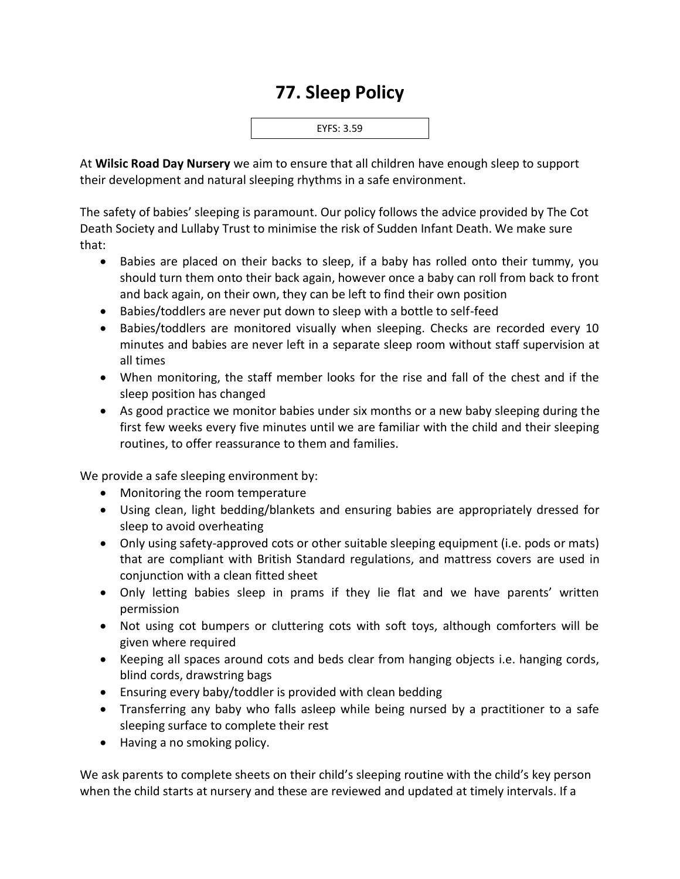## **77. Sleep Policy**



At **Wilsic Road Day Nursery** we aim to ensure that all children have enough sleep to support their development and natural sleeping rhythms in a safe environment.

The safety of babies' sleeping is paramount. Our policy follows the advice provided by The Cot Death Society and Lullaby Trust to minimise the risk of Sudden Infant Death. We make sure that:

- Babies are placed on their backs to sleep, if a baby has rolled onto their tummy, you should turn them onto their back again, however once a baby can roll from back to front and back again, on their own, they can be left to find their own position
- Babies/toddlers are never put down to sleep with a bottle to self-feed
- Babies/toddlers are monitored visually when sleeping. Checks are recorded every 10 minutes and babies are never left in a separate sleep room without staff supervision at all times
- When monitoring, the staff member looks for the rise and fall of the chest and if the sleep position has changed
- As good practice we monitor babies under six months or a new baby sleeping during the first few weeks every five minutes until we are familiar with the child and their sleeping routines, to offer reassurance to them and families.

We provide a safe sleeping environment by:

- Monitoring the room temperature
- Using clean, light bedding/blankets and ensuring babies are appropriately dressed for sleep to avoid overheating
- Only using safety-approved cots or other suitable sleeping equipment (i.e. pods or mats) that are compliant with British Standard regulations, and mattress covers are used in conjunction with a clean fitted sheet
- Only letting babies sleep in prams if they lie flat and we have parents' written permission
- Not using cot bumpers or cluttering cots with soft toys, although comforters will be given where required
- Keeping all spaces around cots and beds clear from hanging objects i.e. hanging cords, blind cords, drawstring bags
- Ensuring every baby/toddler is provided with clean bedding
- Transferring any baby who falls asleep while being nursed by a practitioner to a safe sleeping surface to complete their rest
- Having a no smoking policy.

We ask parents to complete sheets on their child's sleeping routine with the child's key person when the child starts at nursery and these are reviewed and updated at timely intervals. If a